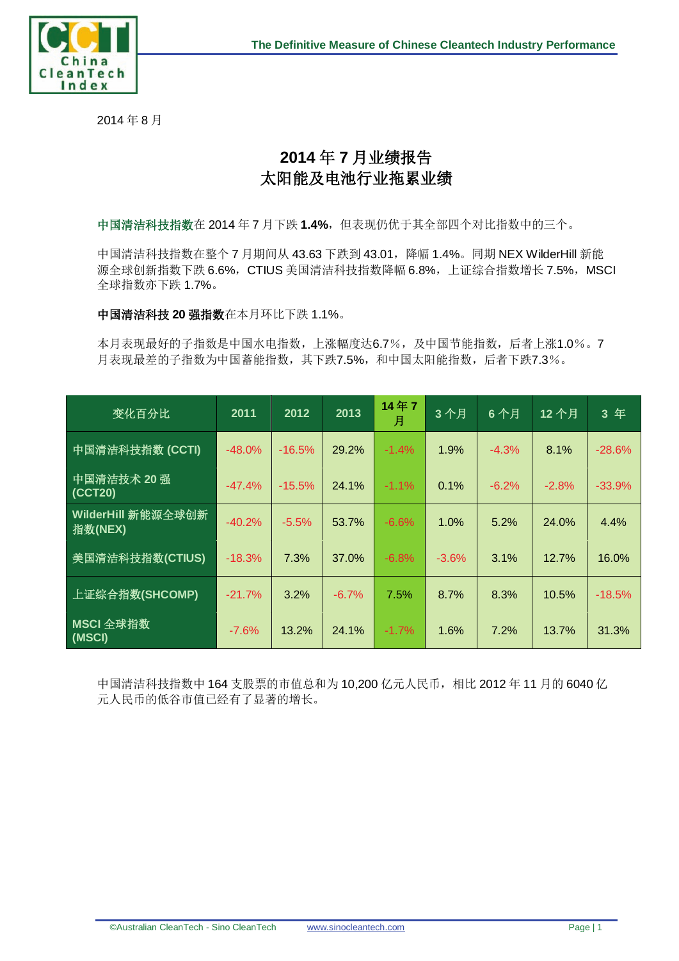

2014 年 8 月

## **2014** 年 **7** 月业绩报告 太阳能及电池行业拖累业绩

中国清洁科技指数在 2014 年 7 月下跌 1.4%, 但表现仍优于其全部四个对比指数中的三个。

中国清洁科技指数在整个 7 月期间从 43.63 下跌到 43.01, 降幅 1.4%。同期 NEX WilderHill 新能 源全球创新指数下跌 6.6%, CTIUS 美国清洁科技指数降幅 6.8%, 上证综合指数增长 7.5%, MSCI 全球指数亦下跌 1.7%。

中国清洁科技 **20** 强指数在本月环比下跌 1.1%。

本月表现最好的子指数是中国水电指数,上涨幅度达6.7%,及中国节能指数,后者上涨1.0%。7 月表现最差的子指数为中国蓄能指数,其下跌7.5%,和中国太阳能指数,后者下跌7.3%。

| 变化百分比                         | 2011     | 2012     | 2013    | 14年7<br>月 | 3个月     | 6个月     | 12个月    | 3年       |
|-------------------------------|----------|----------|---------|-----------|---------|---------|---------|----------|
| 中国清洁科技指数 (CCTI)               | $-48.0%$ | $-16.5%$ | 29.2%   | $-1.4%$   | 1.9%    | $-4.3%$ | 8.1%    | $-28.6%$ |
| 中国清洁技术 20 强<br>(CCT20)        | $-47.4%$ | $-15.5%$ | 24.1%   | $-1.1%$   | 0.1%    | $-6.2%$ | $-2.8%$ | $-33.9%$ |
| WilderHill 新能源全球创新<br>指数(NEX) | $-40.2%$ | $-5.5%$  | 53.7%   | $-6.6%$   | 1.0%    | 5.2%    | 24.0%   | 4.4%     |
| 美国清洁科技指数(CTIUS)               | $-18.3%$ | 7.3%     | 37.0%   | $-6.8%$   | $-3.6%$ | 3.1%    | 12.7%   | 16.0%    |
| 上证综合指数(SHCOMP)                | $-21.7%$ | 3.2%     | $-6.7%$ | 7.5%      | 8.7%    | 8.3%    | 10.5%   | $-18.5%$ |
| MSCI 全球指数<br>(MSCI)           | $-7.6%$  | 13.2%    | 24.1%   | $-1.7%$   | 1.6%    | 7.2%    | 13.7%   | 31.3%    |

中国清洁科技指数中 164 支股票的市值总和为 10,200 亿元人民币,相比 2012 年 11 月的 6040 亿 元人民币的低谷市值已经有了显著的增长。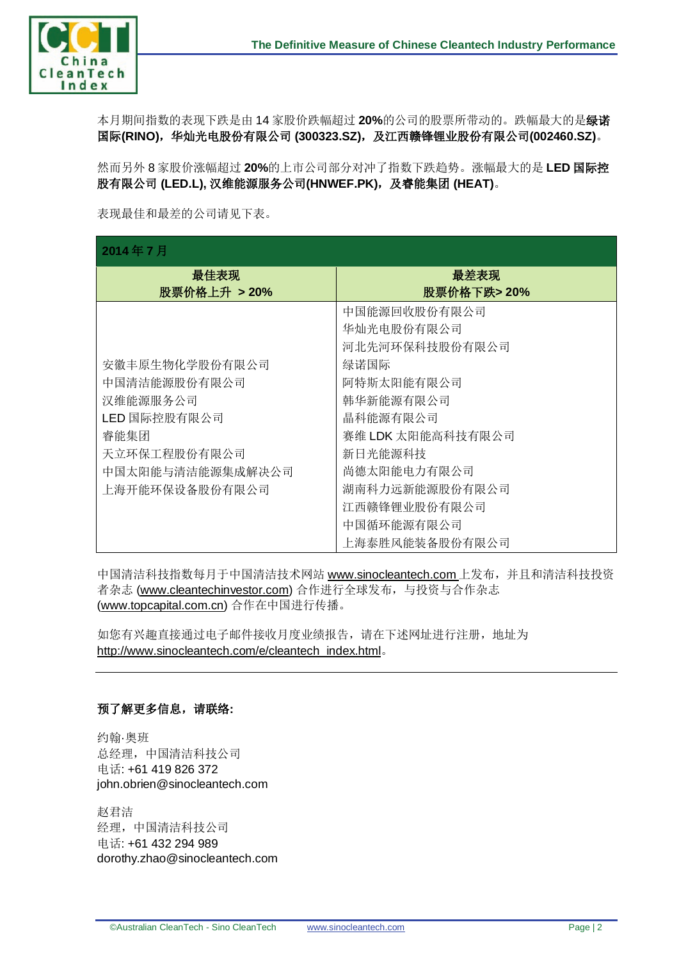

本月期间指数的表现下跌是由 14 家股价跌幅超过 **20%**的公司的股票所带动的。跌幅最大的是绿诺 国际(RINO),华灿光电股份有限公司 (300323.SZ), 及江西赣锋锂业股份有限公司(002460.SZ)。

然而另外 8 家股价涨幅超过 **20%**的上市公司部分对冲了指数下跌趋势。涨幅最大的是 **LED** 国际控 股有限公司 **(LED.L),** 汉维能源服务公司**(HNWEF.PK)**,及睿能集团 **(HEAT)**。

表现最佳和最差的公司请见下表。

## **2014** 年 **7** 月

| 4014 + 1 J       |                   |  |  |  |  |
|------------------|-------------------|--|--|--|--|
| 最佳表现             | 最差表现              |  |  |  |  |
| 股票价格上升 > 20%     | 股票价格下跌>20%        |  |  |  |  |
|                  | 中国能源回收股份有限公司      |  |  |  |  |
|                  | 华灿光电股份有限公司        |  |  |  |  |
|                  | 河北先河环保科技股份有限公司    |  |  |  |  |
| 安徽丰原生物化学股份有限公司   | 绿诺国际              |  |  |  |  |
| 中国清洁能源股份有限公司     | 阿特斯太阳能有限公司        |  |  |  |  |
| 汉维能源服务公司         | 韩华新能源有限公司         |  |  |  |  |
| LED 国际控股有限公司     | 晶科能源有限公司          |  |  |  |  |
| 睿能集团             | 赛维 LDK 太阳能高科技有限公司 |  |  |  |  |
| 天立环保工程股份有限公司     | 新日光能源科技           |  |  |  |  |
| 中国太阳能与清洁能源集成解决公司 | 尚德太阳能电力有限公司       |  |  |  |  |
| 上海开能环保设备股份有限公司   | 湖南科力远新能源股份有限公司    |  |  |  |  |
|                  | 江西赣锋锂业股份有限公司      |  |  |  |  |
|                  | 中国循环能源有限公司        |  |  |  |  |
|                  | 上海泰胜风能装备股份有限公司    |  |  |  |  |

中国清洁科技指数每月于中国清洁技术网站 [www.sinocleantech.com](http://www.sinocleantech.com/) 上发布, 并且和清洁科技投资 者杂志 [\(www.cleantechinvestor.com\)](http://www.cleantechinvestor.com/) 合作进行全球发布, 与投资与合作杂志 [\(www.topcapital.com.cn\)](http://www.topcapital.com.cn/) 合作在中国进行传播。

如您有兴趣直接通过电子邮件接收月度业绩报告,请在下述网址进行注册,地址为 [http://www.sinocleantech.com/e/cleantech\\_index.html](http://www.sinocleantech.com/e/cleantech_index.html)。

## 预了解更多信息,请联络**:**

约翰·奥班 总经理,中国清洁科技公司 电话: +61 419 826 372 john.obrien@sinocleantech.com

赵君洁 经理,中国清洁科技公司 电话: +61 432 294 989 dorothy.zhao@sinocleantech.com